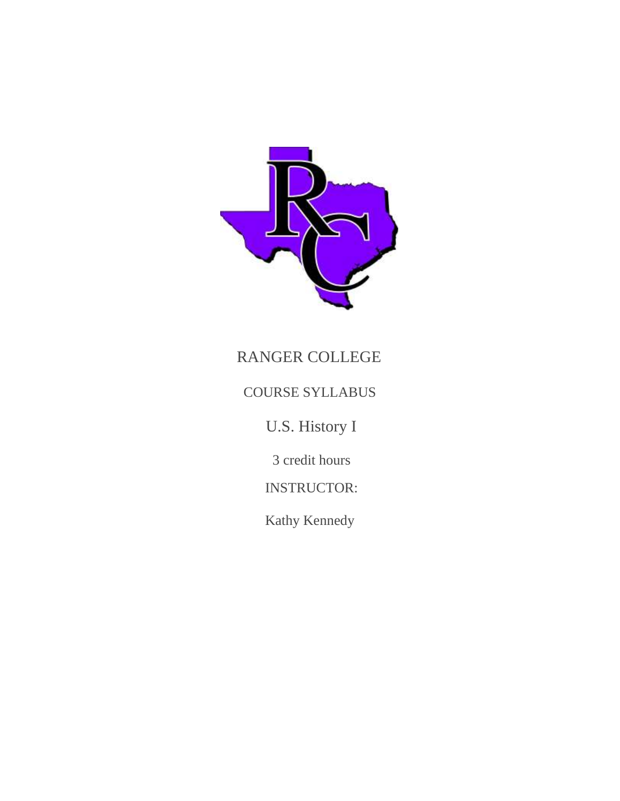

# RANGER COLLEGE

## COURSE SYLLABUS

U.S. History I

3 credit hours

INSTRUCTOR:

Kathy Kennedy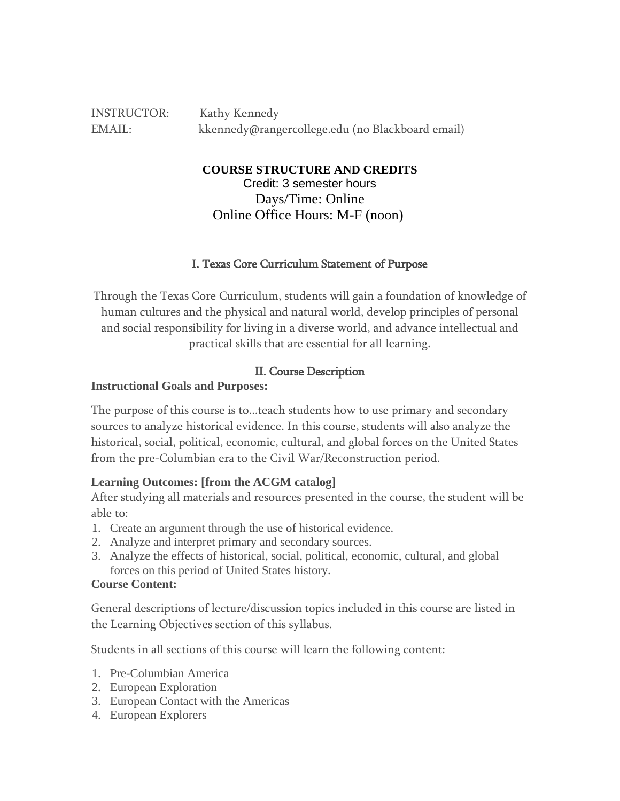INSTRUCTOR: Kathy Kennedy EMAIL: kkennedy@rangercollege.edu (no Blackboard email)

**COURSE STRUCTURE AND CREDITS**

Credit: 3 semester hours Days/Time: Online Online Office Hours: M-F (noon)

#### I. Texas Core Curriculum Statement of Purpose

Through the Texas Core Curriculum, students will gain a foundation of knowledge of human cultures and the physical and natural world, develop principles of personal and social responsibility for living in a diverse world, and advance intellectual and practical skills that are essential for all learning.

#### II. Course Description

#### **Instructional Goals and Purposes:**

The purpose of this course is to...teach students how to use primary and secondary sources to analyze historical evidence. In this course, students will also analyze the historical, social, political, economic, cultural, and global forces on the United States from the pre-Columbian era to the Civil War/Reconstruction period.

#### **Learning Outcomes: [from the ACGM catalog]**

After studying all materials and resources presented in the course, the student will be able to:

- 1. Create an argument through the use of historical evidence.
- 2. Analyze and interpret primary and secondary sources.
- 3. Analyze the effects of historical, social, political, economic, cultural, and global forces on this period of United States history.

#### **Course Content:**

General descriptions of lecture/discussion topics included in this course are listed in the Learning Objectives section of this syllabus.

Students in all sections of this course will learn the following content:

- 1. Pre-Columbian America
- 2. European Exploration
- 3. European Contact with the Americas
- 4. European Explorers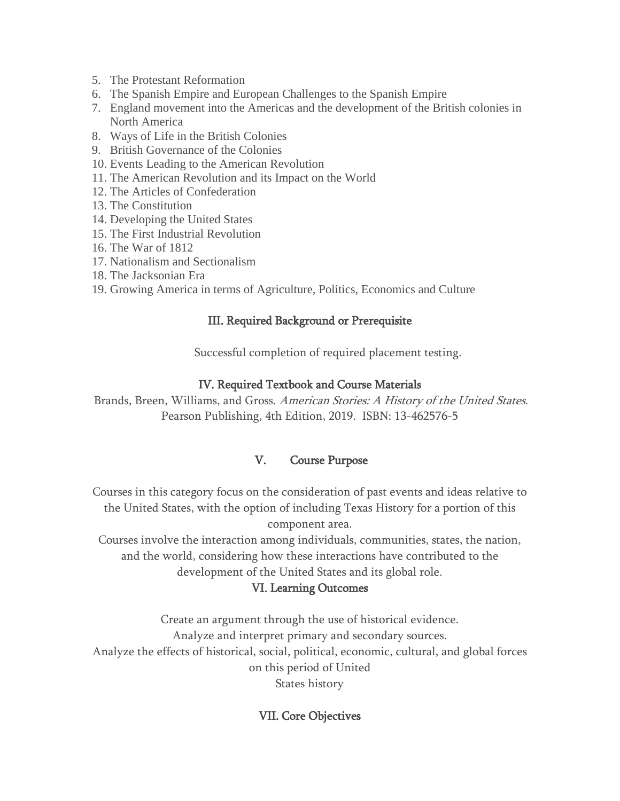- 5. The Protestant Reformation
- 6. The Spanish Empire and European Challenges to the Spanish Empire
- 7. England movement into the Americas and the development of the British colonies in North America
- 8. Ways of Life in the British Colonies
- 9. British Governance of the Colonies
- 10. Events Leading to the American Revolution
- 11. The American Revolution and its Impact on the World
- 12. The Articles of Confederation
- 13. The Constitution
- 14. Developing the United States
- 15. The First Industrial Revolution
- 16. The War of 1812
- 17. Nationalism and Sectionalism
- 18. The Jacksonian Era
- 19. Growing America in terms of Agriculture, Politics, Economics and Culture

#### III. Required Background or Prerequisite

Successful completion of required placement testing.

#### IV. Required Textbook and Course Materials

Brands, Breen, Williams, and Gross. American Stories: <sup>A</sup> History of the United States. Pearson Publishing, 4th Edition, 2019. ISBN: 13-462576-5

#### V. Course Purpose

Courses in this category focus on the consideration of past events and ideas relative to the United States, with the option of including Texas History for a portion of this component area.

Courses involve the interaction among individuals, communities, states, the nation, and the world, considering how these interactions have contributed to the development of the United States and its global role.

#### VI. Learning Outcomes

Create an argument through the use of historical evidence. Analyze and interpret primary and secondary sources. Analyze the effects of historical, social, political, economic, cultural, and global forces on this period of United States history

## VII. Core Objectives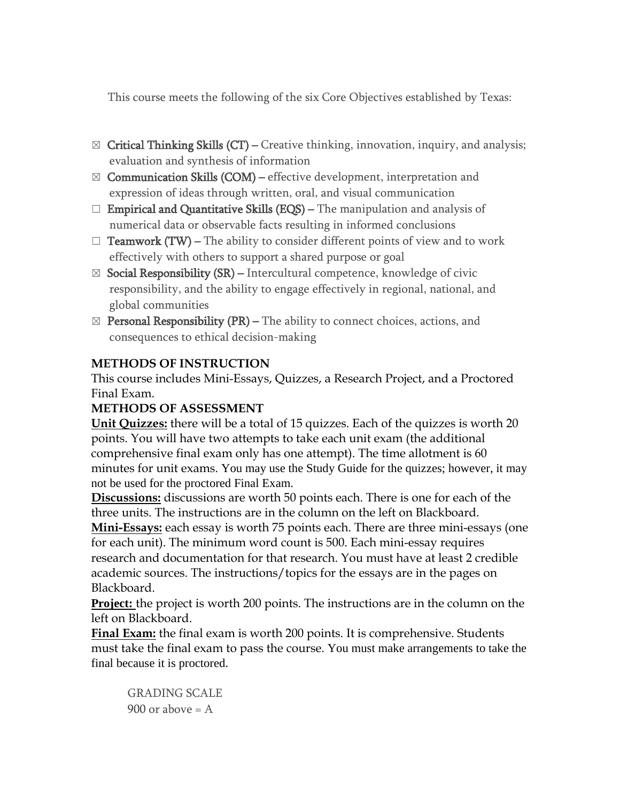This course meets the following of the six Core Objectives established by Texas:

- $\boxtimes$  Critical Thinking Skills (CT) Creative thinking, innovation, inquiry, and analysis; evaluation and synthesis of information
- $\boxtimes$  Communication Skills (COM) effective development, interpretation and expression of ideas through written, oral, and visual communication
- $\Box$  **Empirical and Quantitative Skills (EQS)** The manipulation and analysis of numerical data or observable facts resulting in informed conclusions
- $\Box$  **Teamwork (TW)** The ability to consider different points of view and to work effectively with others to support a shared purpose or goal
- $\boxtimes$  Social Responsibility (SR) Intercultural competence, knowledge of civic responsibility, and the ability to engage effectively in regional, national, and global communities
- $\boxtimes$  Personal Responsibility (PR) The ability to connect choices, actions, and consequences to ethical decision-making

## **METHODS OF INSTRUCTION**

This course includes Mini-Essays, Quizzes, a Research Project, and a Proctored Final Exam.

## **METHODS OF ASSESSMENT**

**Unit Quizzes:** there will be a total of 15 quizzes. Each of the quizzes is worth 20 points. You will have two attempts to take each unit exam (the additional comprehensive final exam only has one attempt). The time allotment is 60 minutes for unit exams. You may use the Study Guide for the quizzes; however, it may not be used for the proctored Final Exam.

**Discussions:** discussions are worth 50 points each. There is one for each of the three units. The instructions are in the column on the left on Blackboard.

**Mini-Essays:** each essay is worth 75 points each. There are three mini-essays (one for each unit). The minimum word count is 500. Each mini-essay requires research and documentation for that research. You must have at least 2 credible academic sources. The instructions/topics for the essays are in the pages on Blackboard.

**Project:** the project is worth 200 points. The instructions are in the column on the left on Blackboard.

**Final Exam:** the final exam is worth 200 points. It is comprehensive. Students must take the final exam to pass the course. You must make arrangements to take the final because it is proctored.

GRADING SCALE 900 or above  $= A$